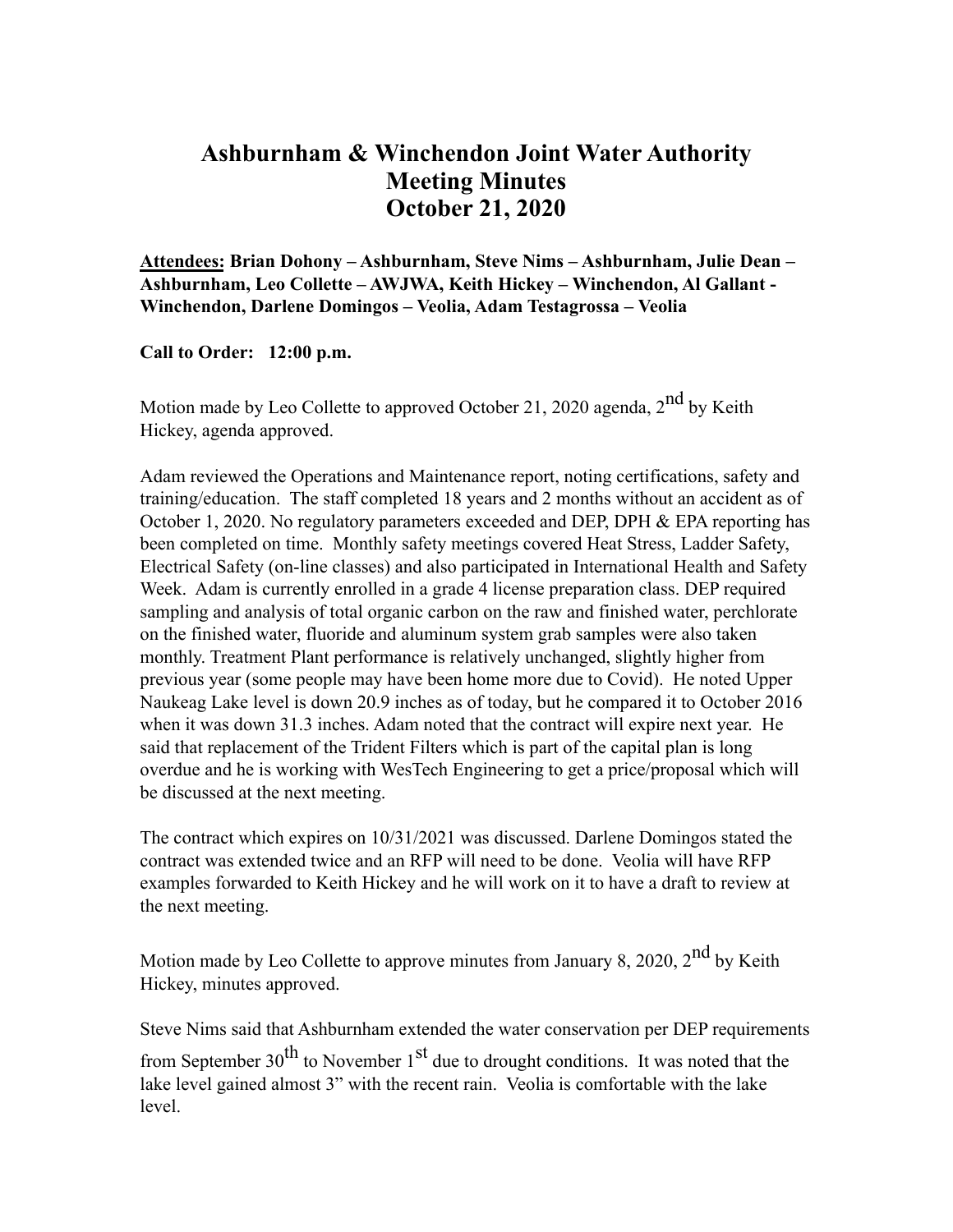## **Ashburnham & Winchendon Joint Water Authority Meeting Minutes October 21, 2020**

**Attendees: Brian Dohony – Ashburnham, Steve Nims – Ashburnham, Julie Dean – Ashburnham, Leo Collette – AWJWA, Keith Hickey – Winchendon, Al Gallant - Winchendon, Darlene Domingos – Veolia, Adam Testagrossa – Veolia**

**Call to Order: 12:00 p.m.**

Motion made by Leo Collette to approved October 21, 2020 agenda,  $2<sup>nd</sup>$  by Keith Hickey, agenda approved.

Adam reviewed the Operations and Maintenance report, noting certifications, safety and training/education. The staff completed 18 years and 2 months without an accident as of October 1, 2020. No regulatory parameters exceeded and DEP, DPH & EPA reporting has been completed on time. Monthly safety meetings covered Heat Stress, Ladder Safety, Electrical Safety (on-line classes) and also participated in International Health and Safety Week. Adam is currently enrolled in a grade 4 license preparation class. DEP required sampling and analysis of total organic carbon on the raw and finished water, perchlorate on the finished water, fluoride and aluminum system grab samples were also taken monthly. Treatment Plant performance is relatively unchanged, slightly higher from previous year (some people may have been home more due to Covid). He noted Upper Naukeag Lake level is down 20.9 inches as of today, but he compared it to October 2016 when it was down 31.3 inches. Adam noted that the contract will expire next year. He said that replacement of the Trident Filters which is part of the capital plan is long overdue and he is working with WesTech Engineering to get a price/proposal which will be discussed at the next meeting.

The contract which expires on 10/31/2021 was discussed. Darlene Domingos stated the contract was extended twice and an RFP will need to be done. Veolia will have RFP examples forwarded to Keith Hickey and he will work on it to have a draft to review at the next meeting.

Motion made by Leo Collette to approve minutes from January 8, 2020,  $2^{nd}$  by Keith Hickey, minutes approved.

Steve Nims said that Ashburnham extended the water conservation per DEP requirements from September  $30^{th}$  to November  $1^{st}$  due to drought conditions. It was noted that the lake level gained almost 3" with the recent rain. Veolia is comfortable with the lake level.